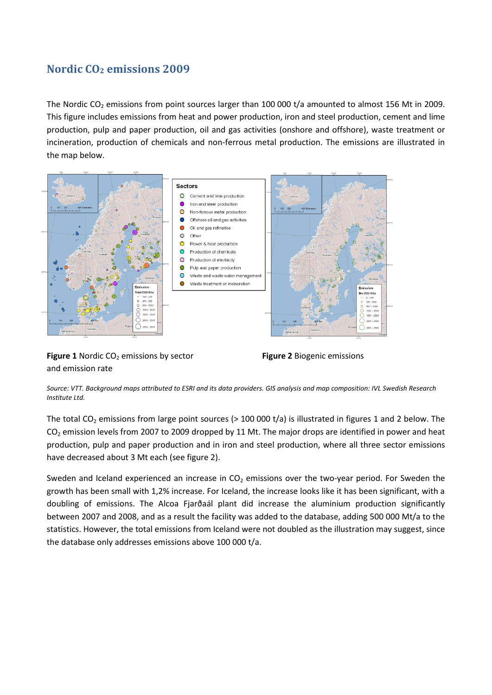## **Nordic CO2 emissions 2009**

The Nordic CO<sub>2</sub> emissions from point sources larger than 100 000 t/a amounted to almost 156 Mt in 2009. This figure includes emissions from heat and power production, iron and steel production, cement and lime production, pulp and paper production, oil and gas activities (onshore and offshore), waste treatment or incineration, production of chemicals and non-ferrous metal production. The emissions are illustrated in the map below.



**Figure 1** Nordic CO<sub>2</sub> emissions by sector **Figure 2** Biogenic emissions and emission rate



*Source: VTT. Background maps attributed to ESRI and its data providers. GIS analysis and map composition: IVL Swedish Research Institute Ltd.*

The total CO<sub>2</sub> emissions from large point sources (> 100 000 t/a) is illustrated in figures 1 and 2 below. The CO<sub>2</sub> emission levels from 2007 to 2009 dropped by 11 Mt. The major drops are identified in power and heat production, pulp and paper production and in iron and steel production, where all three sector emissions have decreased about 3 Mt each (see figure 2).

Sweden and Iceland experienced an increase in  $CO<sub>2</sub>$  emissions over the two-year period. For Sweden the growth has been small with 1,2% increase. For Iceland, the increase looks like it has been significant, with a doubling of emissions. The Alcoa Fjarðaál plant did increase the aluminium production significantly between 2007 and 2008, and as a result the facility was added to the database, adding 500 000 Mt/a to the statistics. However, the total emissions from Iceland were not doubled as the illustration may suggest, since the database only addresses emissions above 100 000 t/a.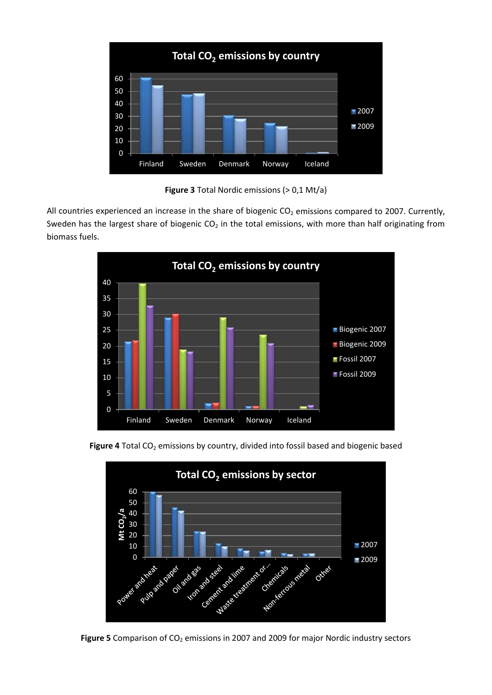

**Figure 3** Total Nordic emissions (> 0,1 Mt/a)

All countries experienced an increase in the share of biogenic  $CO<sub>2</sub>$  emissions compared to 2007. Currently, Sweden has the largest share of biogenic  $CO<sub>2</sub>$  in the total emissions, with more than half originating from biomass fuels.







Figure 5 Comparison of CO<sub>2</sub> emissions in 2007 and 2009 for major Nordic industry sectors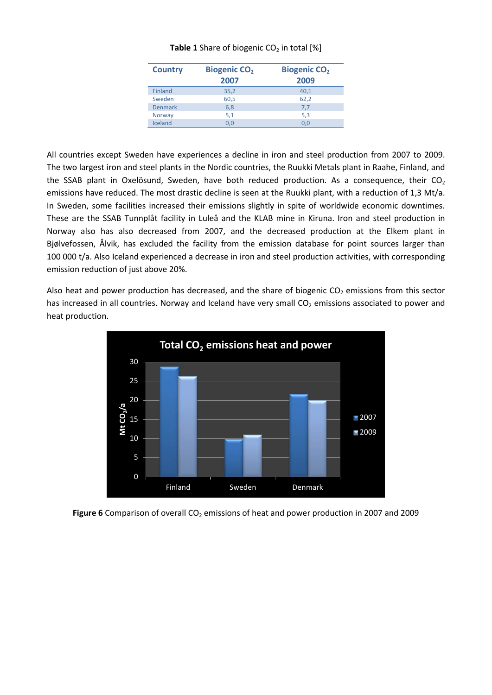| <b>Country</b> | <b>Biogenic CO<sub>2</sub></b><br>2007 | <b>Biogenic CO<sub>2</sub></b><br>2009 |
|----------------|----------------------------------------|----------------------------------------|
| <b>Finland</b> | 35,2                                   | 40,1                                   |
| Sweden         | 60,5                                   | 62,2                                   |
| Denmark        | 6,8                                    | 7,7                                    |
| <b>Norway</b>  | 5,1                                    | 5,3                                    |
| Iceland        | 0.0                                    | 0.0                                    |

## **Table 1** Share of biogenic CO<sub>2</sub> in total [%]

All countries except Sweden have experiences a decline in iron and steel production from 2007 to 2009. The two largest iron and steel plants in the Nordic countries, the Ruukki Metals plant in Raahe, Finland, and the SSAB plant in Oxelösund, Sweden, have both reduced production. As a consequence, their  $CO<sub>2</sub>$ emissions have reduced. The most drastic decline is seen at the Ruukki plant, with a reduction of 1,3 Mt/a. In Sweden, some facilities increased their emissions slightly in spite of worldwide economic downtimes. These are the SSAB Tunnplåt facility in Luleå and the KLAB mine in Kiruna. Iron and steel production in Norway also has also decreased from 2007, and the decreased production at the Elkem plant in Bjølvefossen, Ålvik, has excluded the facility from the emission database for point sources larger than 100 000 t/a. Also Iceland experienced a decrease in iron and steel production activities, with corresponding emission reduction of just above 20%.

Also heat and power production has decreased, and the share of biogenic  $CO<sub>2</sub>$  emissions from this sector has increased in all countries. Norway and Iceland have very small  $CO<sub>2</sub>$  emissions associated to power and heat production.



**Figure 6** Comparison of overall CO<sub>2</sub> emissions of heat and power production in 2007 and 2009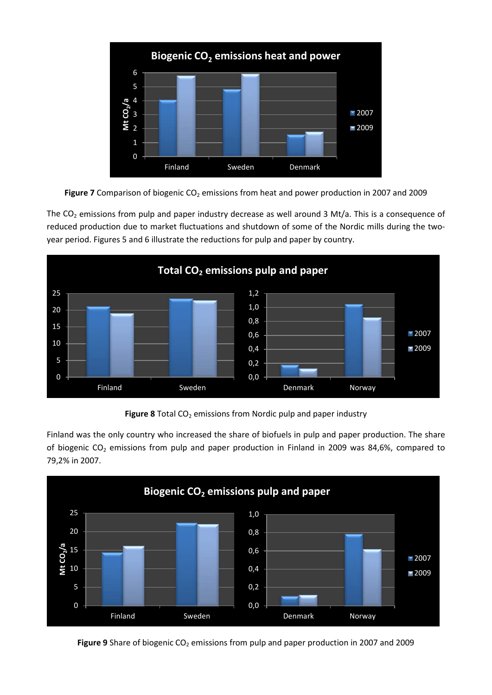

Figure 7 Comparison of biogenic CO<sub>2</sub> emissions from heat and power production in 2007 and 2009

The  $CO<sub>2</sub>$  emissions from pulp and paper industry decrease as well around 3 Mt/a. This is a consequence of reduced production due to market fluctuations and shutdown of some of the Nordic mills during the twoyear period. Figures 5 and 6 illustrate the reductions for pulp and paper by country.



**Figure 8** Total CO<sub>2</sub> emissions from Nordic pulp and paper industry

Finland was the only country who increased the share of biofuels in pulp and paper production. The share of biogenic  $CO_2$  emissions from pulp and paper production in Finland in 2009 was 84,6%, compared to 79,2% in 2007.



Figure 9 Share of biogenic CO<sub>2</sub> emissions from pulp and paper production in 2007 and 2009